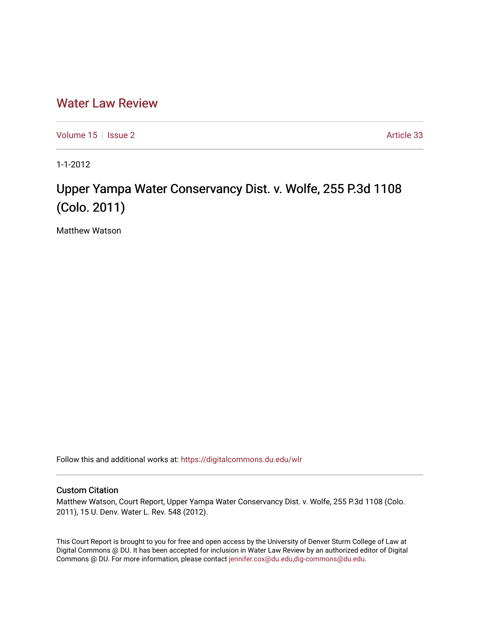## [Water Law Review](https://digitalcommons.du.edu/wlr)

[Volume 15](https://digitalcommons.du.edu/wlr/vol15) | [Issue 2](https://digitalcommons.du.edu/wlr/vol15/iss2) Article 33

1-1-2012

## Upper Yampa Water Conservancy Dist. v. Wolfe, 255 P.3d 1108 (Colo. 2011)

Matthew Watson

Follow this and additional works at: [https://digitalcommons.du.edu/wlr](https://digitalcommons.du.edu/wlr?utm_source=digitalcommons.du.edu%2Fwlr%2Fvol15%2Fiss2%2F33&utm_medium=PDF&utm_campaign=PDFCoverPages) 

## Custom Citation

Matthew Watson, Court Report, Upper Yampa Water Conservancy Dist. v. Wolfe, 255 P.3d 1108 (Colo. 2011), 15 U. Denv. Water L. Rev. 548 (2012).

This Court Report is brought to you for free and open access by the University of Denver Sturm College of Law at Digital Commons @ DU. It has been accepted for inclusion in Water Law Review by an authorized editor of Digital Commons @ DU. For more information, please contact [jennifer.cox@du.edu,dig-commons@du.edu.](mailto:jennifer.cox@du.edu,dig-commons@du.edu)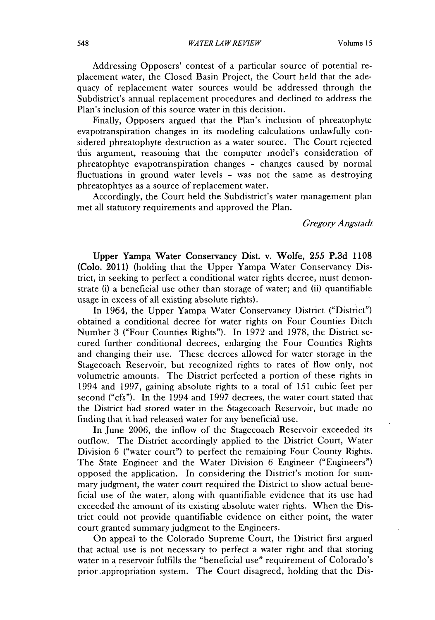Addressing Opposers' contest of a particular source of potential replacement water, the Closed Basin Project, the Court held that the adequacy of replacement water sources would be addressed through the Subdistrict's annual replacement procedures and declined to address the Plan's inclusion of this source water in this decision.

Finally, Opposers argued that the Plan's inclusion of phreatophyte evapotranspiration changes in its modeling calculations unlawfully considered phreatophyte destruction as a water source. The Court rejected this argument, reasoning that the computer model's consideration of phreatophtye evapotranspiration changes **-** changes caused **by** normal fluctuations in ground water levels **-** was not the same as destroying phreatophtyes as a source of replacement water.

Accordingly, the Court held the Subdistrict's water management plan met all statutory requirements and approved the Plan.

*Gregory Angstadt*

Upper Yampa Water Conservancy Dist. v. **Wolfe,** *255* **P.3d 1108** (Colo. 2011) (holding that the Upper Yampa Water Conservancy **Dis**trict, in seeking to perfect a conditional water rights decree, must demonstrate (i) a beneficial use other than storage of water; and **(ii)** quantifiable usage in excess of all existing absolute rights).

In 1964, the Upper Yampa Water Conservancy District ("District") obtained a conditional decree for water rights on Four Counties Ditch Number **3** ("Four Counties Rights"). In **1972** and **1978,** the District secured further conditional decrees, enlarging the Four Counties Rights and changing their use. These decrees allowed for water storage in the Stagecoach Reservoir, but recognized rights to rates of flow only, not volumetric amounts. The District perfected a portion of these rights in 1994 and **1997,** gaining absolute rights to a total of **151** cubic feet per second ("cfs"). In the 1994 and **1997** decrees, the water court stated that the District had stored water in the Stagecoach Reservoir, but made no finding that it had released water for any beneficial use.

In June **2006,** the inflow of the Stagecoach Reservoir exceeded its outflow. The District accordingly applied to the District Court, Water Division **6** ("water court") to perfect the remaining Four County Rights. The State Engineer and the Water Division **6** Engineer ("Engineers") opposed the application. In considering the District's motion for summary judgment, the water court required the District to show actual beneficial use of the water, along with quantifiable evidence that its use had exceeded the amount of its existing absolute water rights. When the **Dis**trict could not provide quantifiable evidence on either point, the water court granted summary judgment to the Engineers.

On appeal to the Colorado Supreme Court, the District first argued that actual use is not necessary to perfect a water right and that storing water in a reservoir fulfills the "beneficial use" requirement of Colorado's prior.appropriation system. The Court disagreed, holding that the **Dis-**